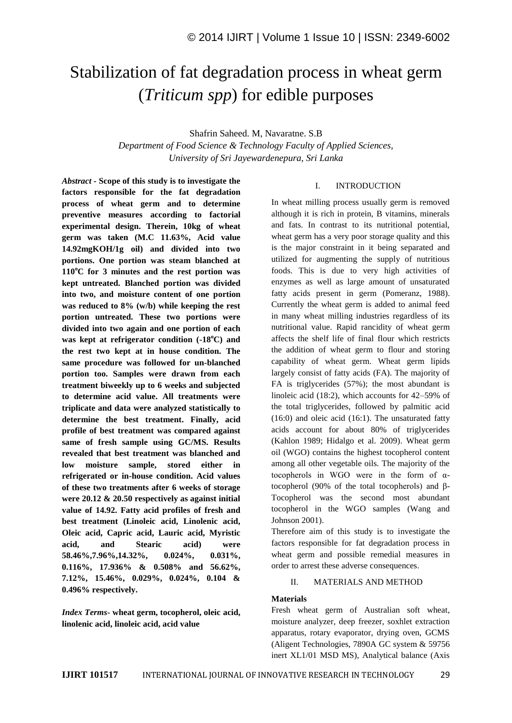# Stabilization of fat degradation process in wheat germ (*Triticum spp*) for edible purposes

Shafrin Saheed. M, Navaratne. S.B

*Department of Food Science & Technology Faculty of Applied Sciences, University of Sri Jayewardenepura, Sri Lanka*

*Abstract -* **Scope of this study is to investigate the factors responsible for the fat degradation process of wheat germ and to determine preventive measures according to factorial experimental design. Therein, 10kg of wheat germ was taken (M.C 11.63%, Acid value 14.92mgKOH/1g oil) and divided into two portions. One portion was steam blanched at 110<sup>o</sup>C for 3 minutes and the rest portion was kept untreated. Blanched portion was divided into two, and moisture content of one portion was reduced to 8% (w/b) while keeping the rest portion untreated. These two portions were divided into two again and one portion of each was kept at refrigerator condition (-18<sup>o</sup>C) and the rest two kept at in house condition. The same procedure was followed for un-blanched portion too. Samples were drawn from each treatment biweekly up to 6 weeks and subjected to determine acid value. All treatments were triplicate and data were analyzed statistically to determine the best treatment. Finally, acid profile of best treatment was compared against same of fresh sample using GC/MS. Results revealed that best treatment was blanched and low moisture sample, stored either in refrigerated or in-house condition. Acid values of these two treatments after 6 weeks of storage were 20.12 & 20.50 respectively as against initial value of 14.92. Fatty acid profiles of fresh and best treatment (Linoleic acid, Linolenic acid, Oleic acid, Capric acid, Lauric acid, Myristic acid, and Stearic acid) were 58.46%,7.96%,14.32%, 0.024%, 0.031%, 0.116%, 17.936% & 0.508% and 56.62%, 7.12%, 15.46%, 0.029%, 0.024%, 0.104 & 0.496% respectively.**

*Index Terms***- wheat germ, tocopherol, oleic acid, linolenic acid, linoleic acid, acid value**

## I. INTRODUCTION

In wheat milling process usually germ is removed although it is rich in protein, B vitamins, minerals and fats. In contrast to its nutritional potential, wheat germ has a very poor storage quality and this is the major constraint in it being separated and utilized for augmenting the supply of nutritious foods. This is due to very high activities of enzymes as well as large amount of unsaturated fatty acids present in germ (Pomeranz, 1988). Currently the wheat germ is added to animal feed in many wheat milling industries regardless of its nutritional value. Rapid rancidity of wheat germ affects the shelf life of final flour which restricts the addition of wheat germ to flour and storing capability of wheat germ. Wheat germ lipids largely consist of fatty acids (FA). The majority of FA is triglycerides (57%); the most abundant is linoleic acid (18:2), which accounts for 42–59% of the total triglycerides, followed by palmitic acid (16:0) and oleic acid (16:1). The unsaturated fatty acids account for about 80% of triglycerides (Kahlon 1989; Hidalgo et al. 2009). Wheat germ oil (WGO) contains the highest tocopherol content among all other vegetable oils. The majority of the tocopherols in WGO were in the form of αtocopherol (90% of the total tocopherols) and β-Tocopherol was the second most abundant tocopherol in the WGO samples (Wang and Johnson 2001).

Therefore aim of this study is to investigate the factors responsible for fat degradation process in wheat germ and possible remedial measures in order to arrest these adverse consequences.

## II. MATERIALS AND METHOD

## **Materials**

Fresh wheat germ of Australian soft wheat, moisture analyzer, deep freezer, soxhlet extraction apparatus, rotary evaporator, drying oven, GCMS (Aligent Technologies, 7890A GC system & 59756 inert XL1/01 MSD MS), Analytical balance (Axis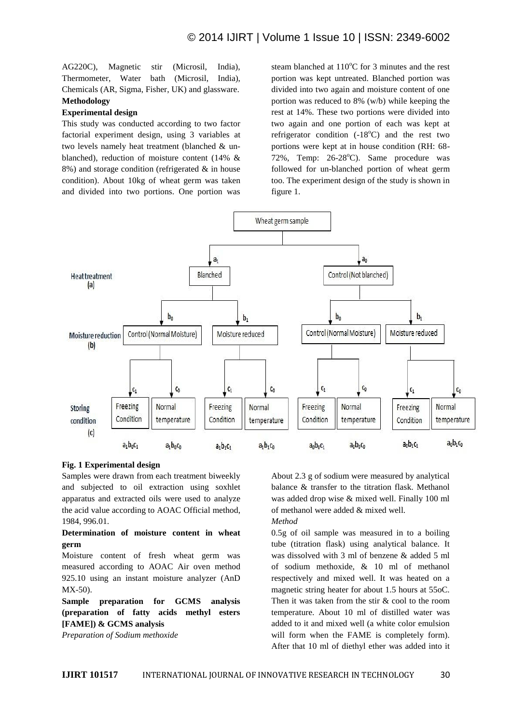AG220C), Magnetic stir (Microsil, India), Thermometer, Water bath (Microsil, India), Chemicals (AR, Sigma, Fisher, UK) and glassware. **Methodology**

## **Experimental design**

This study was conducted according to two factor factorial experiment design, using 3 variables at two levels namely heat treatment (blanched & unblanched), reduction of moisture content (14% &  $8\%$ ) and storage condition (refrigerated  $\&$  in house condition). About 10kg of wheat germ was taken and divided into two portions. One portion was

steam blanched at  $110^{\circ}$ C for 3 minutes and the rest portion was kept untreated. Blanched portion was divided into two again and moisture content of one portion was reduced to 8% (w/b) while keeping the rest at 14%. These two portions were divided into two again and one portion of each was kept at refrigerator condition  $(-18^{\circ}\text{C})$  and the rest two portions were kept at in house condition (RH: 68- 72%, Temp:  $26-28$ °C). Same procedure was followed for un-blanched portion of wheat germ too. The experiment design of the study is shown in figure 1.



#### **Fig. 1 Experimental design**

Samples were drawn from each treatment biweekly and subjected to oil extraction using soxhlet apparatus and extracted oils were used to analyze the acid value according to AOAC Official method, 1984, 996.01.

## **Determination of moisture content in wheat germ**

Moisture content of fresh wheat germ was measured according to AOAC Air oven method 925.10 using an instant moisture analyzer (AnD MX-50).

**Sample preparation for GCMS analysis (preparation of fatty acids methyl esters [FAME]) & GCMS analysis**

*Preparation of Sodium methoxide*

About 2.3 g of sodium were measured by analytical balance & transfer to the titration flask. Methanol was added drop wise & mixed well. Finally 100 ml of methanol were added & mixed well. *Method*

0.5g of oil sample was measured in to a boiling tube (titration flask) using analytical balance. It was dissolved with 3 ml of benzene & added 5 ml of sodium methoxide, & 10 ml of methanol respectively and mixed well. It was heated on a magnetic string heater for about 1.5 hours at 55oC. Then it was taken from the stir & cool to the room temperature. About 10 ml of distilled water was added to it and mixed well (a white color emulsion will form when the FAME is completely form). After that 10 ml of diethyl ether was added into it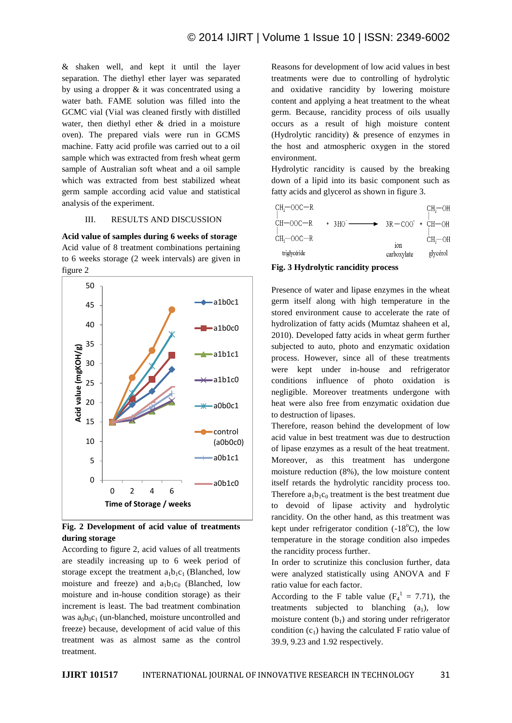& shaken well, and kept it until the layer separation. The diethyl ether layer was separated by using a dropper & it was concentrated using a water bath. FAME solution was filled into the GCMC vial (Vial was cleaned firstly with distilled water, then diethyl ether & dried in a moisture oven). The prepared vials were run in GCMS machine. Fatty acid profile was carried out to a oil sample which was extracted from fresh wheat germ sample of Australian soft wheat and a oil sample which was extracted from best stabilized wheat germ sample according acid value and statistical analysis of the experiment.

## III. RESULTS AND DISCUSSION

**Acid value of samples during 6 weeks of storage** Acid value of 8 treatment combinations pertaining to 6 weeks storage (2 week intervals) are given in figure 2



**Fig. 2 Development of acid value of treatments during storage**

According to figure 2, acid values of all treatments are steadily increasing up to 6 week period of storage except the treatment  $a_1b_1c_1$  (Blanched, low moisture and freeze) and  $a_1b_1c_0$  (Blanched, low moisture and in-house condition storage) as their increment is least. The bad treatment combination was  $a_0b_0c_1$  (un-blanched, moisture uncontrolled and freeze) because, development of acid value of this treatment was as almost same as the control treatment.

Reasons for development of low acid values in best treatments were due to controlling of hydrolytic and oxidative rancidity by lowering moisture content and applying a heat treatment to the wheat germ. Because, rancidity process of oils usually occurs as a result of high moisture content (Hydrolytic rancidity) & presence of enzymes in the host and atmospheric oxygen in the stored environment.

Hydrolytic rancidity is caused by the breaking down of a lipid into its basic component such as fatty acids and glycerol as shown in figure 3.

| triglycéride |                                  | 10 <sub>n</sub><br>carboxylate | glycérol  |
|--------------|----------------------------------|--------------------------------|-----------|
| $CH7=OOC-R$  |                                  |                                | $CH = OH$ |
| CH-OOC-R     | $+ 3HO$ $- 3R - COO$ $+ CH - OH$ |                                |           |
| $CH7=OOC-R$  |                                  |                                | $CH=OH$   |

#### **Fig. 3 Hydrolytic rancidity process**

Presence of water and lipase enzymes in the wheat germ itself along with high temperature in the stored environment cause to accelerate the rate of hydrolization of fatty acids (Mumtaz shaheen et al, 2010). Developed fatty acids in wheat germ further subjected to auto, photo and enzymatic oxidation process. However, since all of these treatments were kept under in-house and refrigerator conditions influence of photo oxidation is negligible. Moreover treatments undergone with heat were also free from enzymatic oxidation due to destruction of lipases.

Therefore, reason behind the development of low acid value in best treatment was due to destruction of lipase enzymes as a result of the heat treatment. Moreover, as this treatment has undergone moisture reduction (8%), the low moisture content itself retards the hydrolytic rancidity process too. Therefore  $a_1b_1c_0$  treatment is the best treatment due to devoid of lipase activity and hydrolytic rancidity. On the other hand, as this treatment was kept under refrigerator condition  $(-18^{\circ}C)$ , the low temperature in the storage condition also impedes the rancidity process further.

In order to scrutinize this conclusion further, data were analyzed statistically using ANOVA and F ratio value for each factor.

According to the F table value ( $F_4^1 = 7.71$ ), the treatments subjected to blanching  $(a_1)$ , low moisture content  $(b_1)$  and storing under refrigerator condition  $(c_1)$  having the calculated F ratio value of 39.9, 9.23 and 1.92 respectively.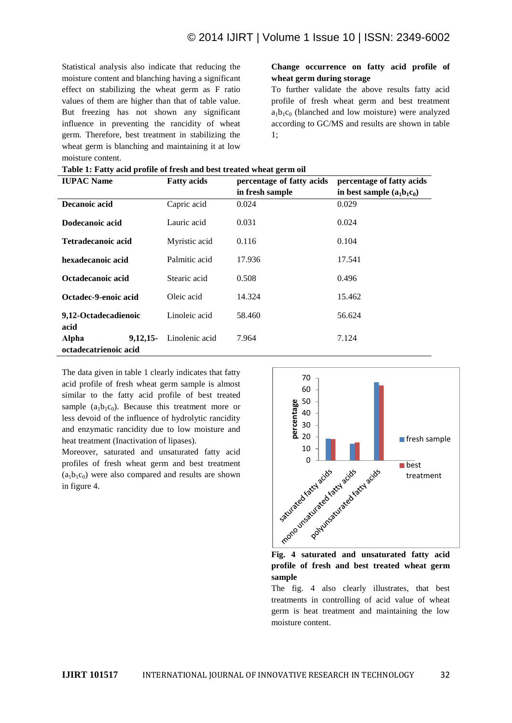Statistical analysis also indicate that reducing the moisture content and blanching having a significant effect on stabilizing the wheat germ as F ratio values of them are higher than that of table value. But freezing has not shown any significant influence in preventing the rancidity of wheat germ. Therefore, best treatment in stabilizing the wheat germ is blanching and maintaining it at low moisture content.

## **Change occurrence on fatty acid profile of wheat germ during storage**

To further validate the above results fatty acid profile of fresh wheat germ and best treatment  $a_1b_1c_0$  (blanched and low moisture) were analyzed according to GC/MS and results are shown in table 1;

| <b>IUPAC Name</b>                             | <b>Fatty acids</b> | percentage of fatty acids | percentage of fatty acids    |
|-----------------------------------------------|--------------------|---------------------------|------------------------------|
|                                               |                    | in fresh sample           | in best sample $(a_1b_1c_0)$ |
| Decanoic acid                                 | Capric acid        | 0.024                     | 0.029                        |
| Dodecanoic acid                               | Lauric acid        | 0.031                     | 0.024                        |
| Tetradecanoic acid                            | Myristic acid      | 0.116                     | 0.104                        |
| hexadecanoic acid                             | Palmitic acid      | 17.936                    | 17.541                       |
| Octadecanoic acid                             | Stearic acid       | 0.508                     | 0.496                        |
| Octadec-9-enoic acid                          | Oleic acid         | 14.324                    | 15.462                       |
| 9,12-Octadecadienoic<br>acid                  | Linoleic acid      | 58.460                    | 56.624                       |
| Alpha<br>$9.12.15 -$<br>octadecatrienoic acid | Linolenic acid     | 7.964                     | 7.124                        |

|  |  | Table 1: Fatty acid profile of fresh and best treated wheat germ oil |
|--|--|----------------------------------------------------------------------|
|--|--|----------------------------------------------------------------------|

The data given in table 1 clearly indicates that fatty acid profile of fresh wheat germ sample is almost similar to the fatty acid profile of best treated sample  $(a_1b_1c_0)$ . Because this treatment more or less devoid of the influence of hydrolytic rancidity and enzymatic rancidity due to low moisture and heat treatment (Inactivation of lipases).

Moreover, saturated and unsaturated fatty acid profiles of fresh wheat germ and best treatment  $(a_1b_1c_0)$  were also compared and results are shown in figure 4.



**Fig. 4 saturated and unsaturated fatty acid profile of fresh and best treated wheat germ sample**

The fig. 4 also clearly illustrates, that best treatments in controlling of acid value of wheat germ is heat treatment and maintaining the low moisture content.